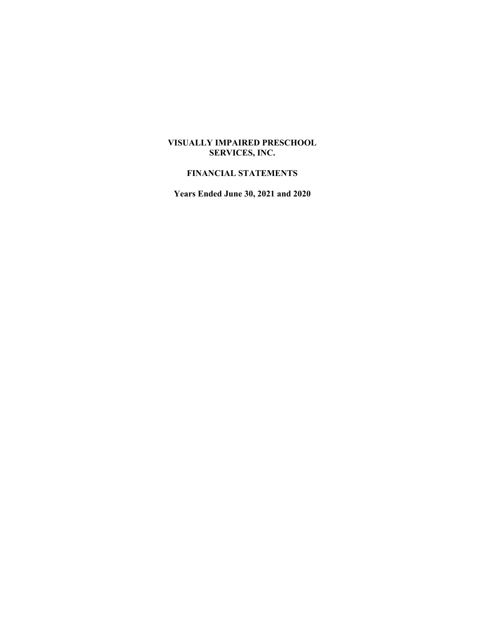# **FINANCIAL STATEMENTS**

**Years Ended June 30, 2021 and 2020**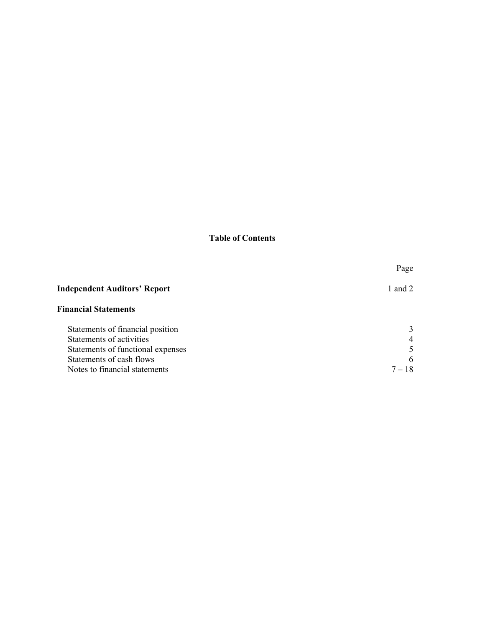# **Table of Contents**

|                                     | Page      |
|-------------------------------------|-----------|
| <b>Independent Auditors' Report</b> | 1 and $2$ |
| <b>Financial Statements</b>         |           |
| Statements of financial position    | 3         |
| Statements of activities            | 4         |
| Statements of functional expenses   |           |
| Statements of cash flows            | 6         |
| Notes to financial statements       | $7 - 18$  |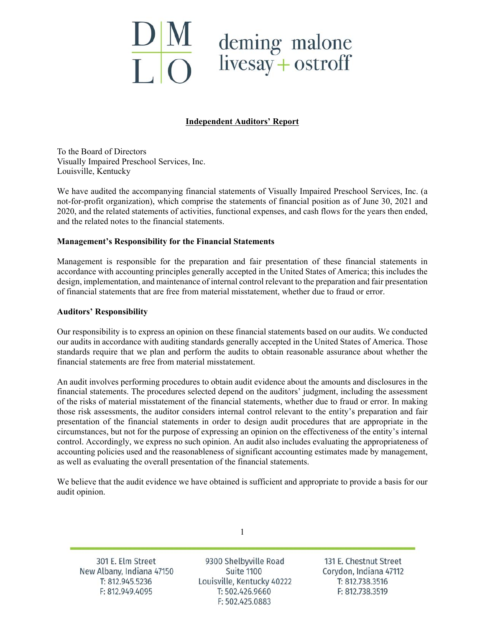# deming malone<br>livesay + ostroff

# **Independent Auditors' Report**

To the Board of Directors Visually Impaired Preschool Services, Inc. Louisville, Kentucky

We have audited the accompanying financial statements of Visually Impaired Preschool Services, Inc. (a not-for-profit organization), which comprise the statements of financial position as of June 30, 2021 and 2020, and the related statements of activities, functional expenses, and cash flows for the years then ended, and the related notes to the financial statements.

# **Management's Responsibility for the Financial Statements**

Management is responsible for the preparation and fair presentation of these financial statements in accordance with accounting principles generally accepted in the United States of America; this includes the design, implementation, and maintenance of internal control relevant to the preparation and fair presentation of financial statements that are free from material misstatement, whether due to fraud or error.

# **Auditors' Responsibility**

Our responsibility is to express an opinion on these financial statements based on our audits. We conducted our audits in accordance with auditing standards generally accepted in the United States of America. Those standards require that we plan and perform the audits to obtain reasonable assurance about whether the financial statements are free from material misstatement.

An audit involves performing procedures to obtain audit evidence about the amounts and disclosures in the financial statements. The procedures selected depend on the auditors' judgment, including the assessment of the risks of material misstatement of the financial statements, whether due to fraud or error. In making those risk assessments, the auditor considers internal control relevant to the entity's preparation and fair presentation of the financial statements in order to design audit procedures that are appropriate in the circumstances, but not for the purpose of expressing an opinion on the effectiveness of the entity's internal control. Accordingly, we express no such opinion. An audit also includes evaluating the appropriateness of accounting policies used and the reasonableness of significant accounting estimates made by management, as well as evaluating the overall presentation of the financial statements.

We believe that the audit evidence we have obtained is sufficient and appropriate to provide a basis for our audit opinion.

301 E. Elm Street New Albany, Indiana 47150 T: 812.945.5236 F: 812.949.4095

9300 Shelbyville Road **Suite 1100** Louisville, Kentucky 40222 T: 502.426.9660 F: 502.425.0883

131 E. Chestnut Street Corydon, Indiana 47112 T: 812,738,3516 F: 812.738.3519

1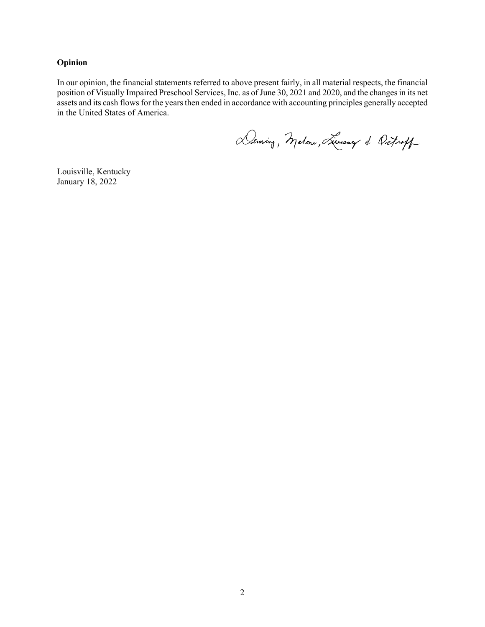# **Opinion**

In our opinion, the financial statements referred to above present fairly, in all material respects, the financial position of Visually Impaired Preschool Services, Inc. as of June 30, 2021 and 2020, and the changes in its net assets and its cash flows for the years then ended in accordance with accounting principles generally accepted in the United States of America.

Deming, Malone, Triusay & Octooff

Louisville, Kentucky January 18, 2022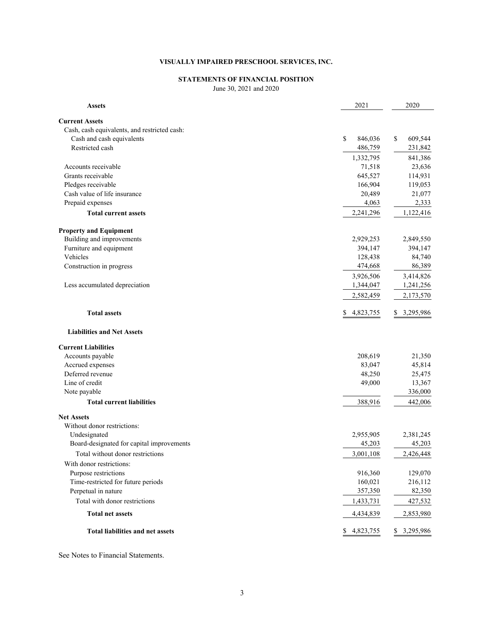# **STATEMENTS OF FINANCIAL POSITION**

June 30, 2021 and 2020

| <b>Assets</b>                                | 2021            | 2020            |
|----------------------------------------------|-----------------|-----------------|
| <b>Current Assets</b>                        |                 |                 |
| Cash, cash equivalents, and restricted cash: |                 |                 |
| Cash and cash equivalents                    | \$<br>846,036   | \$<br>609,544   |
| Restricted cash                              | 486,759         | 231,842         |
|                                              | 1,332,795       | 841,386         |
| Accounts receivable                          | 71,518          | 23,636          |
| Grants receivable                            | 645,527         | 114,931         |
| Pledges receivable                           | 166,904         | 119,053         |
| Cash value of life insurance                 | 20,489          | 21,077          |
| Prepaid expenses                             | 4,063           | 2,333           |
| <b>Total current assets</b>                  | 2,241,296       | 1,122,416       |
|                                              |                 |                 |
| <b>Property and Equipment</b>                |                 |                 |
| Building and improvements                    | 2,929,253       | 2,849,550       |
| Furniture and equipment                      | 394,147         | 394,147         |
| Vehicles                                     | 128,438         | 84,740          |
| Construction in progress                     | 474,668         | 86,389          |
|                                              | 3,926,506       | 3,414,826       |
| Less accumulated depreciation                | 1,344,047       | 1,241,256       |
|                                              | 2,582,459       | 2,173,570       |
| <b>Total assets</b>                          | 4,823,755<br>S  | 3,295,986<br>S. |
| <b>Liabilities and Net Assets</b>            |                 |                 |
| <b>Current Liabilities</b>                   |                 |                 |
| Accounts payable                             | 208,619         | 21,350          |
| Accrued expenses                             | 83,047          | 45,814          |
| Deferred revenue                             | 48,250          | 25,475          |
| Line of credit                               | 49,000          | 13,367          |
| Note payable                                 |                 | 336,000         |
| <b>Total current liabilities</b>             | 388,916         | 442,006         |
| <b>Net Assets</b>                            |                 |                 |
| Without donor restrictions:                  |                 |                 |
| Undesignated                                 | 2,955,905       | 2,381,245       |
| Board-designated for capital improvements    | 45,203          | 45,203          |
| Total without donor restrictions             | 3,001,108       | 2,426,448       |
| With donor restrictions:                     |                 |                 |
| Purpose restrictions                         | 916,360         | 129,070         |
| Time-restricted for future periods           | 160,021         | 216,112         |
| Perpetual in nature                          | 357,350         | 82,350          |
| Total with donor restrictions                | 1,433,731       | 427,532         |
|                                              |                 |                 |
| <b>Total net assets</b>                      | 4,434,839       | 2,853,980       |
| <b>Total liabilities and net assets</b>      | 4,823,755<br>\$ | \$ 3,295,986    |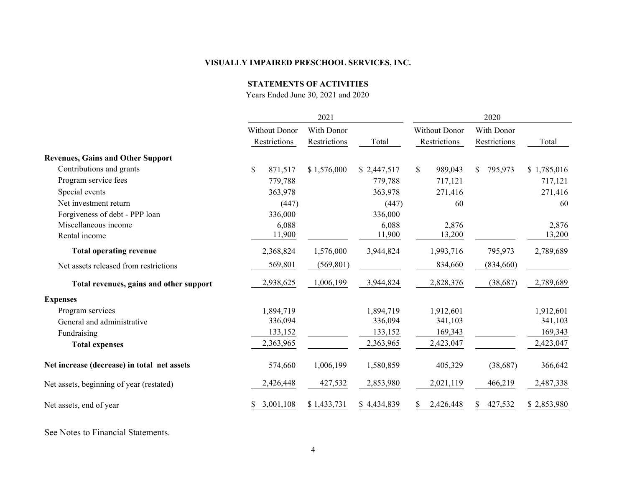#### **STATEMENTS OF ACTIVITIES**

Years Ended June 30, 2021 and 2020

|                                             | 2021                                 |                            |             |                                      | 2020                       |             |
|---------------------------------------------|--------------------------------------|----------------------------|-------------|--------------------------------------|----------------------------|-------------|
|                                             | <b>Without Donor</b><br>Restrictions | With Donor<br>Restrictions | Total       | <b>Without Donor</b><br>Restrictions | With Donor<br>Restrictions | Total       |
| <b>Revenues, Gains and Other Support</b>    |                                      |                            |             |                                      |                            |             |
| Contributions and grants                    | $\mathbb{S}$<br>871,517              | \$1,576,000                | \$2,447,517 | 989,043<br><sup>S</sup>              | \$<br>795,973              | \$1,785,016 |
| Program service fees                        | 779,788                              |                            | 779,788     | 717,121                              |                            | 717,121     |
| Special events                              | 363,978                              |                            | 363,978     | 271,416                              |                            | 271,416     |
| Net investment return                       | (447)                                |                            | (447)       | 60                                   |                            | 60          |
| Forgiveness of debt - PPP loan              | 336,000                              |                            | 336,000     |                                      |                            |             |
| Miscellaneous income                        | 6,088                                |                            | 6,088       | 2,876                                |                            | 2,876       |
| Rental income                               | 11,900                               |                            | 11,900      | 13,200                               |                            | 13,200      |
| <b>Total operating revenue</b>              | 2,368,824                            | 1,576,000                  | 3,944,824   | 1,993,716                            | 795,973                    | 2,789,689   |
| Net assets released from restrictions       | 569,801                              | (569, 801)                 |             | 834,660                              | (834, 660)                 |             |
| Total revenues, gains and other support     | 2,938,625                            | 1,006,199                  | 3,944,824   | 2,828,376                            | (38,687)                   | 2,789,689   |
| <b>Expenses</b>                             |                                      |                            |             |                                      |                            |             |
| Program services                            | 1,894,719                            |                            | 1,894,719   | 1,912,601                            |                            | 1,912,601   |
| General and administrative                  | 336,094                              |                            | 336,094     | 341,103                              |                            | 341,103     |
| Fundraising                                 | 133,152                              |                            | 133,152     | 169,343                              |                            | 169,343     |
| <b>Total expenses</b>                       | 2,363,965                            |                            | 2,363,965   | 2,423,047                            |                            | 2,423,047   |
| Net increase (decrease) in total net assets | 574,660                              | 1,006,199                  | 1,580,859   | 405,329                              | (38,687)                   | 366,642     |
| Net assets, beginning of year (restated)    | 2,426,448                            | 427,532                    | 2,853,980   | 2,021,119                            | 466,219                    | 2,487,338   |
| Net assets, end of year                     | 3,001,108                            | \$1,433,731                | \$4,434,839 | 2,426,448                            | 427,532<br>S.              | \$2,853,980 |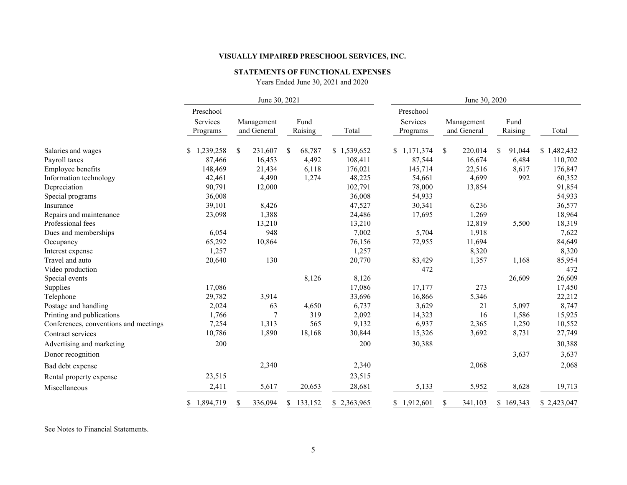#### **STATEMENTS OF FUNCTIONAL EXPENSES**

Years Ended June 30, 2021 and 2020

|                                       | June 30, 2021        |    |                           | June 30, 2020 |                 |             |                      |    |                           |    |                 |             |
|---------------------------------------|----------------------|----|---------------------------|---------------|-----------------|-------------|----------------------|----|---------------------------|----|-----------------|-------------|
|                                       | Preschool            |    |                           |               |                 |             | Preschool            |    |                           |    |                 |             |
|                                       | Services<br>Programs |    | Management<br>and General |               | Fund<br>Raising | Total       | Services<br>Programs |    | Management<br>and General |    | Fund<br>Raising | Total       |
| Salaries and wages                    | \$<br>1,239,258      | \$ | 231,607                   | \$            | 68,787          | \$1,539,652 | \$1,171,374          | S. | 220,014                   | \$ | 91,044          | \$1,482,432 |
| Payroll taxes                         | 87,466               |    | 16,453                    |               | 4,492           | 108,411     | 87,544               |    | 16,674                    |    | 6,484           | 110,702     |
| Employee benefits                     | 148,469              |    | 21,434                    |               | 6,118           | 176,021     | 145,714              |    | 22,516                    |    | 8,617           | 176,847     |
| Information technology                | 42,461               |    | 4,490                     |               | 1,274           | 48,225      | 54,661               |    | 4,699                     |    | 992             | 60,352      |
| Depreciation                          | 90,791               |    | 12,000                    |               |                 | 102,791     | 78,000               |    | 13,854                    |    |                 | 91,854      |
| Special programs                      | 36,008               |    |                           |               |                 | 36,008      | 54,933               |    |                           |    |                 | 54,933      |
| Insurance                             | 39,101               |    | 8,426                     |               |                 | 47,527      | 30,341               |    | 6,236                     |    |                 | 36,577      |
| Repairs and maintenance               | 23,098               |    | 1,388                     |               |                 | 24,486      | 17,695               |    | 1,269                     |    |                 | 18,964      |
| Professional fees                     |                      |    | 13,210                    |               |                 | 13,210      |                      |    | 12,819                    |    | 5,500           | 18,319      |
| Dues and memberships                  | 6,054                |    | 948                       |               |                 | 7,002       | 5,704                |    | 1,918                     |    |                 | 7,622       |
| Occupancy                             | 65,292               |    | 10,864                    |               |                 | 76,156      | 72,955               |    | 11,694                    |    |                 | 84,649      |
| Interest expense                      | 1,257                |    |                           |               |                 | 1,257       |                      |    | 8,320                     |    |                 | 8,320       |
| Travel and auto                       | 20,640               |    | 130                       |               |                 | 20,770      | 83,429               |    | 1,357                     |    | 1,168           | 85,954      |
| Video production                      |                      |    |                           |               |                 |             | 472                  |    |                           |    |                 | 472         |
| Special events                        |                      |    |                           |               | 8,126           | 8,126       |                      |    |                           |    | 26,609          | 26,609      |
| Supplies                              | 17,086               |    |                           |               |                 | 17,086      | 17,177               |    | 273                       |    |                 | 17,450      |
| Telephone                             | 29,782               |    | 3,914                     |               |                 | 33,696      | 16,866               |    | 5,346                     |    |                 | 22,212      |
| Postage and handling                  | 2,024                |    | 63                        |               | 4,650           | 6,737       | 3,629                |    | 21                        |    | 5,097           | 8,747       |
| Printing and publications             | 1,766                |    | 7                         |               | 319             | 2,092       | 14,323               |    | 16                        |    | 1,586           | 15,925      |
| Conferences, conventions and meetings | 7,254                |    | 1,313                     |               | 565             | 9,132       | 6,937                |    | 2,365                     |    | 1,250           | 10,552      |
| Contract services                     | 10,786               |    | 1,890                     |               | 18,168          | 30,844      | 15,326               |    | 3,692                     |    | 8,731           | 27,749      |
| Advertising and marketing             | 200                  |    |                           |               |                 | 200         | 30,388               |    |                           |    |                 | 30,388      |
| Donor recognition                     |                      |    |                           |               |                 |             |                      |    |                           |    | 3,637           | 3,637       |
| Bad debt expense                      |                      |    | 2,340                     |               |                 | 2,340       |                      |    | 2,068                     |    |                 | 2,068       |
| Rental property expense               | 23,515               |    |                           |               |                 | 23,515      |                      |    |                           |    |                 |             |
| Miscellaneous                         | 2,411                |    | 5,617                     |               | 20,653          | 28,681      | 5,133                |    | 5,952                     |    | 8,628           | 19,713      |
|                                       | 1,894,719<br>\$      | \$ | 336,094                   | S.            | 133,152         | \$2,363,965 | \$1,912,601          | \$ | 341,103                   |    | \$169,343       | \$2,423,047 |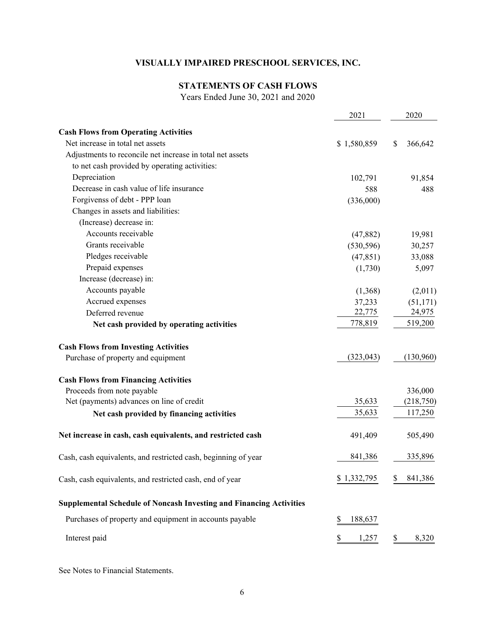# **STATEMENTS OF CASH FLOWS**

Years Ended June 30, 2021 and 2020

|                                                                            | 2021        | 2020          |
|----------------------------------------------------------------------------|-------------|---------------|
| <b>Cash Flows from Operating Activities</b>                                |             |               |
| Net increase in total net assets                                           | \$1,580,859 | \$<br>366,642 |
| Adjustments to reconcile net increase in total net assets                  |             |               |
| to net cash provided by operating activities:                              |             |               |
| Depreciation                                                               | 102,791     | 91,854        |
| Decrease in cash value of life insurance                                   | 588         | 488           |
| Forgivenss of debt - PPP loan                                              | (336,000)   |               |
| Changes in assets and liabilities:                                         |             |               |
| (Increase) decrease in:                                                    |             |               |
| Accounts receivable                                                        | (47, 882)   | 19,981        |
| Grants receivable                                                          | (530, 596)  | 30,257        |
| Pledges receivable                                                         | (47, 851)   | 33,088        |
| Prepaid expenses                                                           | (1,730)     | 5,097         |
| Increase (decrease) in:                                                    |             |               |
| Accounts payable                                                           | (1,368)     | (2,011)       |
| Accrued expenses                                                           | 37,233      | (51, 171)     |
| Deferred revenue                                                           | 22,775      | 24,975        |
| Net cash provided by operating activities                                  | 778,819     | 519,200       |
| <b>Cash Flows from Investing Activities</b>                                |             |               |
| Purchase of property and equipment                                         | (323, 043)  | (130,960)     |
| <b>Cash Flows from Financing Activities</b>                                |             |               |
| Proceeds from note payable                                                 |             | 336,000       |
| Net (payments) advances on line of credit                                  | 35,633      | (218,750)     |
| Net cash provided by financing activities                                  | 35,633      | 117,250       |
| Net increase in cash, cash equivalents, and restricted cash                | 491,409     | 505,490       |
| Cash, cash equivalents, and restricted cash, beginning of year             | 841,386     | 335,896       |
| Cash, cash equivalents, and restricted cash, end of year                   | \$1,332,795 | 841,386       |
| <b>Supplemental Schedule of Noncash Investing and Financing Activities</b> |             |               |
| Purchases of property and equipment in accounts payable                    | 188,637     |               |
| Interest paid                                                              | 1,257       | \$<br>8,320   |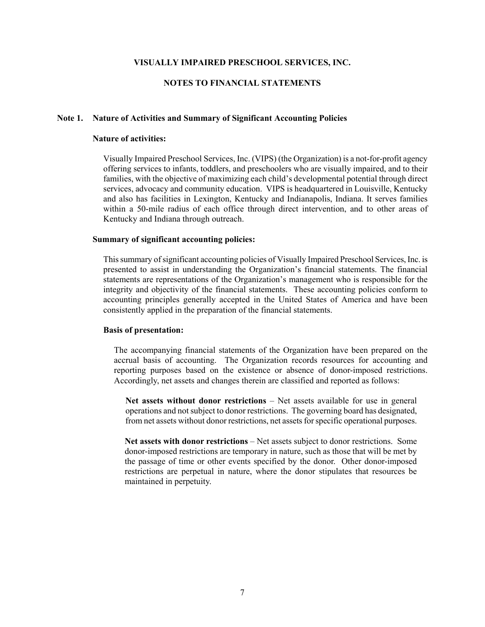# **NOTES TO FINANCIAL STATEMENTS**

# **Note 1. Nature of Activities and Summary of Significant Accounting Policies**

#### **Nature of activities:**

Visually Impaired Preschool Services, Inc. (VIPS) (the Organization) is a not-for-profit agency offering services to infants, toddlers, and preschoolers who are visually impaired, and to their families, with the objective of maximizing each child's developmental potential through direct services, advocacy and community education. VIPS is headquartered in Louisville, Kentucky and also has facilities in Lexington, Kentucky and Indianapolis, Indiana. It serves families within a 50-mile radius of each office through direct intervention, and to other areas of Kentucky and Indiana through outreach.

# **Summary of significant accounting policies:**

This summary of significant accounting policies of Visually Impaired Preschool Services, Inc. is presented to assist in understanding the Organization's financial statements. The financial statements are representations of the Organization's management who is responsible for the integrity and objectivity of the financial statements. These accounting policies conform to accounting principles generally accepted in the United States of America and have been consistently applied in the preparation of the financial statements.

#### **Basis of presentation:**

The accompanying financial statements of the Organization have been prepared on the accrual basis of accounting. The Organization records resources for accounting and reporting purposes based on the existence or absence of donor-imposed restrictions. Accordingly, net assets and changes therein are classified and reported as follows:

**Net assets without donor restrictions** – Net assets available for use in general operations and not subject to donor restrictions. The governing board has designated, from net assets without donor restrictions, net assets for specific operational purposes.

**Net assets with donor restrictions** – Net assets subject to donor restrictions. Some donor-imposed restrictions are temporary in nature, such as those that will be met by the passage of time or other events specified by the donor. Other donor-imposed restrictions are perpetual in nature, where the donor stipulates that resources be maintained in perpetuity.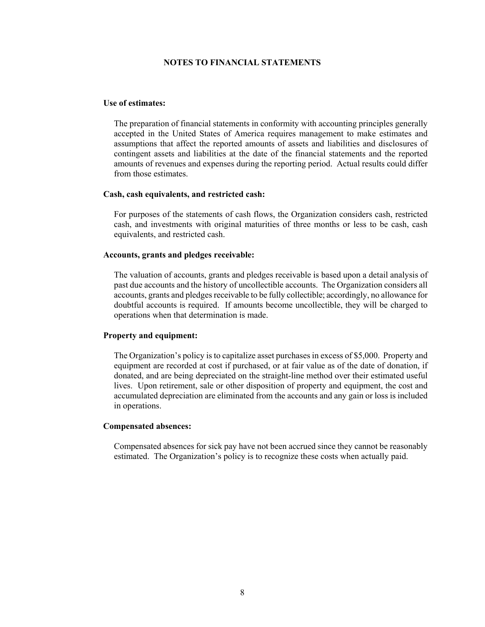#### **Use of estimates:**

The preparation of financial statements in conformity with accounting principles generally accepted in the United States of America requires management to make estimates and assumptions that affect the reported amounts of assets and liabilities and disclosures of contingent assets and liabilities at the date of the financial statements and the reported amounts of revenues and expenses during the reporting period. Actual results could differ from those estimates.

#### **Cash, cash equivalents, and restricted cash:**

For purposes of the statements of cash flows, the Organization considers cash, restricted cash, and investments with original maturities of three months or less to be cash, cash equivalents, and restricted cash.

#### **Accounts, grants and pledges receivable:**

The valuation of accounts, grants and pledges receivable is based upon a detail analysis of past due accounts and the history of uncollectible accounts. The Organization considers all accounts, grants and pledges receivable to be fully collectible; accordingly, no allowance for doubtful accounts is required. If amounts become uncollectible, they will be charged to operations when that determination is made.

# **Property and equipment:**

The Organization's policy is to capitalize asset purchases in excess of \$5,000. Property and equipment are recorded at cost if purchased, or at fair value as of the date of donation, if donated, and are being depreciated on the straight-line method over their estimated useful lives. Upon retirement, sale or other disposition of property and equipment, the cost and accumulated depreciation are eliminated from the accounts and any gain or loss is included in operations.

#### **Compensated absences:**

Compensated absences for sick pay have not been accrued since they cannot be reasonably estimated. The Organization's policy is to recognize these costs when actually paid.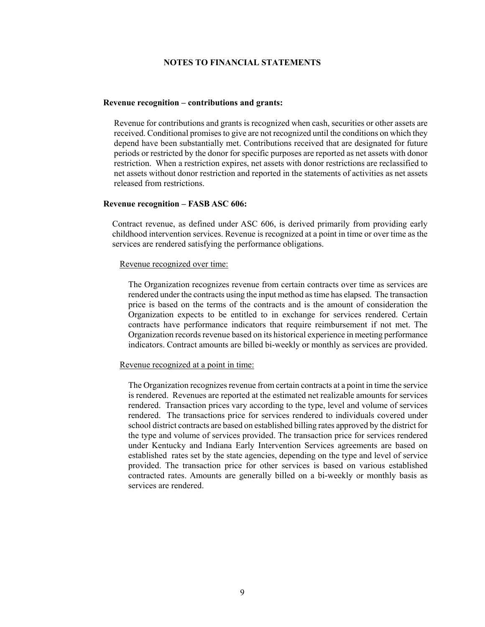# **Revenue recognition – contributions and grants:**

Revenue for contributions and grants is recognized when cash, securities or other assets are received. Conditional promises to give are not recognized until the conditions on which they depend have been substantially met. Contributions received that are designated for future periods or restricted by the donor for specific purposes are reported as net assets with donor restriction. When a restriction expires, net assets with donor restrictions are reclassified to net assets without donor restriction and reported in the statements of activities as net assets released from restrictions.

#### **Revenue recognition – FASB ASC 606:**

Contract revenue, as defined under ASC 606, is derived primarily from providing early childhood intervention services. Revenue is recognized at a point in time or over time as the services are rendered satisfying the performance obligations.

#### Revenue recognized over time:

The Organization recognizes revenue from certain contracts over time as services are rendered under the contracts using the input method as time has elapsed. The transaction price is based on the terms of the contracts and is the amount of consideration the Organization expects to be entitled to in exchange for services rendered. Certain contracts have performance indicators that require reimbursement if not met. The Organization records revenue based on its historical experience in meeting performance indicators. Contract amounts are billed bi-weekly or monthly as services are provided.

#### Revenue recognized at a point in time:

The Organization recognizes revenue from certain contracts at a point in time the service is rendered. Revenues are reported at the estimated net realizable amounts for services rendered. Transaction prices vary according to the type, level and volume of services rendered. The transactions price for services rendered to individuals covered under school district contracts are based on established billing rates approved by the district for the type and volume of services provided. The transaction price for services rendered under Kentucky and Indiana Early Intervention Services agreements are based on established rates set by the state agencies, depending on the type and level of service provided. The transaction price for other services is based on various established contracted rates. Amounts are generally billed on a bi-weekly or monthly basis as services are rendered.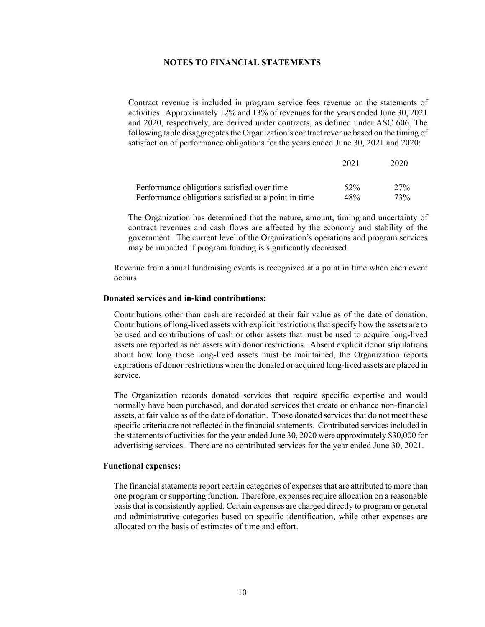Contract revenue is included in program service fees revenue on the statements of activities. Approximately 12% and 13% of revenues for the years ended June 30, 2021 and 2020, respectively, are derived under contracts, as defined under ASC 606. The following table disaggregates the Organization's contract revenue based on the timing of satisfaction of performance obligations for the years ended June 30, 2021 and 2020:

|                                                      | 2021   | 2020   |
|------------------------------------------------------|--------|--------|
| Performance obligations satisfied over time          | $52\%$ | $27\%$ |
| Performance obligations satisfied at a point in time | 48%    | $73\%$ |

The Organization has determined that the nature, amount, timing and uncertainty of contract revenues and cash flows are affected by the economy and stability of the government. The current level of the Organization's operations and program services may be impacted if program funding is significantly decreased.

Revenue from annual fundraising events is recognized at a point in time when each event occurs.

#### **Donated services and in-kind contributions:**

Contributions other than cash are recorded at their fair value as of the date of donation. Contributions of long-lived assets with explicit restrictions that specify how the assets are to be used and contributions of cash or other assets that must be used to acquire long-lived assets are reported as net assets with donor restrictions. Absent explicit donor stipulations about how long those long-lived assets must be maintained, the Organization reports expirations of donor restrictions when the donated or acquired long-lived assets are placed in service.

The Organization records donated services that require specific expertise and would normally have been purchased, and donated services that create or enhance non-financial assets, at fair value as of the date of donation. Those donated services that do not meet these specific criteria are not reflected in the financial statements. Contributed services included in the statements of activities for the year ended June 30, 2020 were approximately \$30,000 for advertising services. There are no contributed services for the year ended June 30, 2021.

#### **Functional expenses:**

The financial statements report certain categories of expenses that are attributed to more than one program or supporting function. Therefore, expenses require allocation on a reasonable basis that is consistently applied. Certain expenses are charged directly to program or general and administrative categories based on specific identification, while other expenses are allocated on the basis of estimates of time and effort.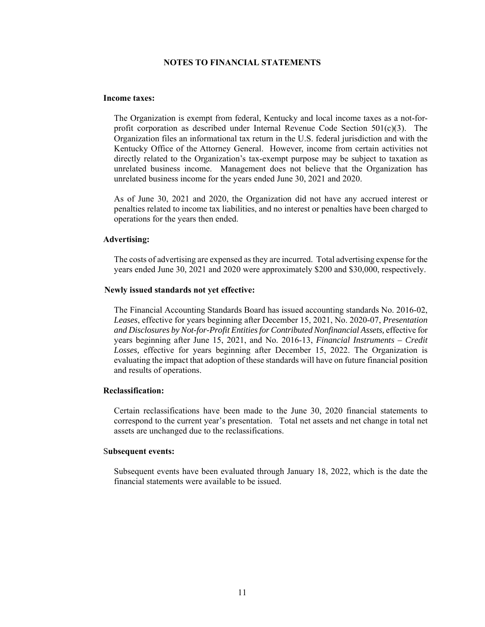#### **Income taxes:**

The Organization is exempt from federal, Kentucky and local income taxes as a not-forprofit corporation as described under Internal Revenue Code Section  $501(c)(3)$ . The Organization files an informational tax return in the U.S. federal jurisdiction and with the Kentucky Office of the Attorney General. However, income from certain activities not directly related to the Organization's tax-exempt purpose may be subject to taxation as unrelated business income. Management does not believe that the Organization has unrelated business income for the years ended June 30, 2021 and 2020.

As of June 30, 2021 and 2020, the Organization did not have any accrued interest or penalties related to income tax liabilities, and no interest or penalties have been charged to operations for the years then ended.

# **Advertising:**

The costs of advertising are expensed as they are incurred. Total advertising expense for the years ended June 30, 2021 and 2020 were approximately \$200 and \$30,000, respectively.

#### **Newly issued standards not yet effective:**

The Financial Accounting Standards Board has issued accounting standards No. 2016-02, *Leases*, effective for years beginning after December 15, 2021, No. 2020-07, *Presentation and Disclosures by Not-for-Profit Entities for Contributed Nonfinancial Assets,* effective for years beginning after June 15, 2021, and No. 2016-13, *Financial Instruments – Credit Losses,* effective for years beginning after December 15, 2022. The Organization is evaluating the impact that adoption of these standards will have on future financial position and results of operations.

#### **Reclassification:**

Certain reclassifications have been made to the June 30, 2020 financial statements to correspond to the current year's presentation. Total net assets and net change in total net assets are unchanged due to the reclassifications.

#### S**ubsequent events:**

Subsequent events have been evaluated through January 18, 2022, which is the date the financial statements were available to be issued.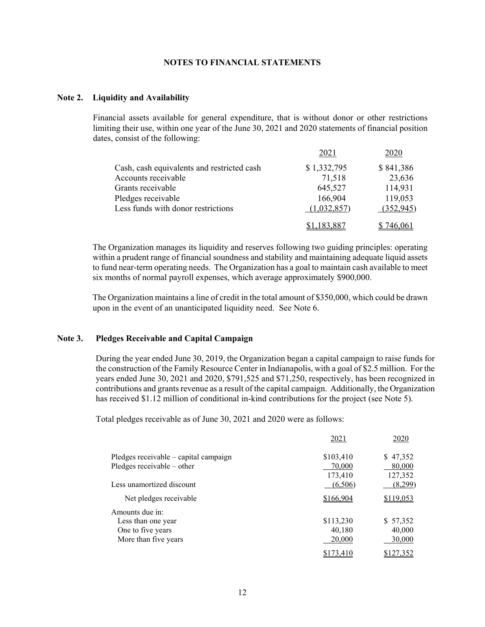#### **Note 2. Liquidity and Availability**

Financial assets available for general expenditure, that is without donor or other restrictions limiting their use, within one year of the June 30, 2021 and 2020 statements of financial position dates, consist of the following:

|                                            | 2021        | 2020       |
|--------------------------------------------|-------------|------------|
| Cash, cash equivalents and restricted cash | \$1,332,795 | \$841,386  |
| Accounts receivable                        | 71,518      | 23,636     |
| Grants receivable                          | 645,527     | 114,931    |
| Pledges receivable                         | 166,904     | 119,053    |
| Less funds with donor restrictions         | (1,032,857) | (352, 945) |
|                                            | \$1,183,887 | 746,061    |

The Organization manages its liquidity and reserves following two guiding principles: operating within a prudent range of financial soundness and stability and maintaining adequate liquid assets to fund near-term operating needs. The Organization has a goal to maintain cash available to meet six months of normal payroll expenses, which average approximately \$900,000.

The Organization maintains a line of credit in the total amount of \$350,000, which could be drawn upon in the event of an unanticipated liquidity need. See Note 6.

#### **Note 3. Pledges Receivable and Capital Campaign**

During the year ended June 30, 2019, the Organization began a capital campaign to raise funds for the construction of the Family Resource Center in Indianapolis, with a goal of \$2.5 million. For the years ended June 30, 2021 and 2020, \$791,525 and \$71,250, respectively, has been recognized in contributions and grants revenue as a result of the capital campaign. Additionally, the Organization has received \$1.12 million of conditional in-kind contributions for the project (see Note 5).

Total pledges receivable as of June 30, 2021 and 2020 were as follows:

|                                       | 2021               | 2020               |
|---------------------------------------|--------------------|--------------------|
| Pledges receivable – capital campaign | \$103,410          | \$47,352           |
| Pledges receivable – other            | 70,000             | 80,000             |
| Less unamortized discount             | 173,410<br>(6,506) | 127,352<br>(8,299) |
| Net pledges receivable                | \$166,904          | <u>\$119,053</u>   |
| Amounts due in:                       |                    |                    |
| Less than one year                    | \$113,230          | \$57,352           |
| One to five years                     | 40,180             | 40,000             |
| More than five years                  | 20,000             | 30,000             |
|                                       | \$173,410          | \$127,352          |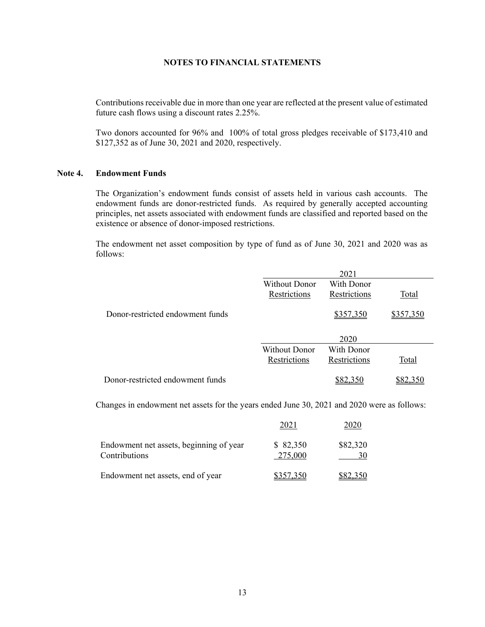Contributions receivable due in more than one year are reflected at the present value of estimated future cash flows using a discount rates 2.25%.

Two donors accounted for 96% and 100% of total gross pledges receivable of \$173,410 and \$127,352 as of June 30, 2021 and 2020, respectively.

## **Note 4. Endowment Funds**

The Organization's endowment funds consist of assets held in various cash accounts. The endowment funds are donor-restricted funds. As required by generally accepted accounting principles, net assets associated with endowment funds are classified and reported based on the existence or absence of donor-imposed restrictions.

The endowment net asset composition by type of fund as of June 30, 2021 and 2020 was as follows:

|                                  |                      | 2021         |           |
|----------------------------------|----------------------|--------------|-----------|
|                                  | Without Donor        | With Donor   |           |
|                                  | Restrictions         | Restrictions | Total     |
| Donor-restricted endowment funds |                      | \$357,350    | \$357,350 |
|                                  |                      | 2020         |           |
|                                  | <b>Without Donor</b> | With Donor   |           |
|                                  | Restrictions         | Restrictions | Total     |
| Donor-restricted endowment funds |                      |              |           |

Changes in endowment net assets for the years ended June 30, 2021 and 2020 were as follows:

|                                                          | 2021                | 2020     |
|----------------------------------------------------------|---------------------|----------|
| Endowment net assets, beginning of year<br>Contributions | \$82,350<br>275,000 | \$82,320 |
| Endowment net assets, end of year                        | \$357,350           | \$82,350 |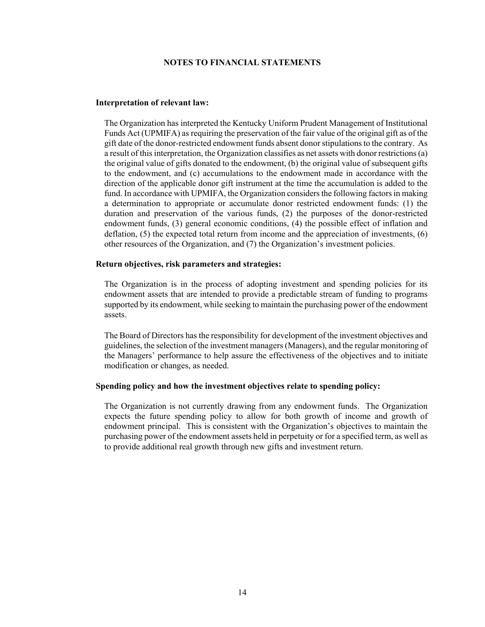#### **Interpretation of relevant law:**

The Organization has interpreted the Kentucky Uniform Prudent Management of Institutional Funds Act (UPMIFA) as requiring the preservation of the fair value of the original gift as of the gift date of the donor-restricted endowment funds absent donor stipulations to the contrary. As a result of this interpretation, the Organization classifies as net assets with donor restrictions (a) the original value of gifts donated to the endowment, (b) the original value of subsequent gifts to the endowment, and (c) accumulations to the endowment made in accordance with the direction of the applicable donor gift instrument at the time the accumulation is added to the fund. In accordance with UPMIFA, the Organization considers the following factors in making a determination to appropriate or accumulate donor restricted endowment funds: (1) the duration and preservation of the various funds, (2) the purposes of the donor-restricted endowment funds, (3) general economic conditions, (4) the possible effect of inflation and deflation, (5) the expected total return from income and the appreciation of investments, (6) other resources of the Organization, and (7) the Organization's investment policies.

#### **Return objectives, risk parameters and strategies:**

The Organization is in the process of adopting investment and spending policies for its endowment assets that are intended to provide a predictable stream of funding to programs supported by its endowment, while seeking to maintain the purchasing power of the endowment assets.

The Board of Directors has the responsibility for development of the investment objectives and guidelines, the selection of the investment managers (Managers), and the regular monitoring of the Managers' performance to help assure the effectiveness of the objectives and to initiate modification or changes, as needed.

#### **Spending policy and how the investment objectives relate to spending policy:**

The Organization is not currently drawing from any endowment funds. The Organization expects the future spending policy to allow for both growth of income and growth of endowment principal. This is consistent with the Organization's objectives to maintain the purchasing power of the endowment assets held in perpetuity or for a specified term, as well as to provide additional real growth through new gifts and investment return.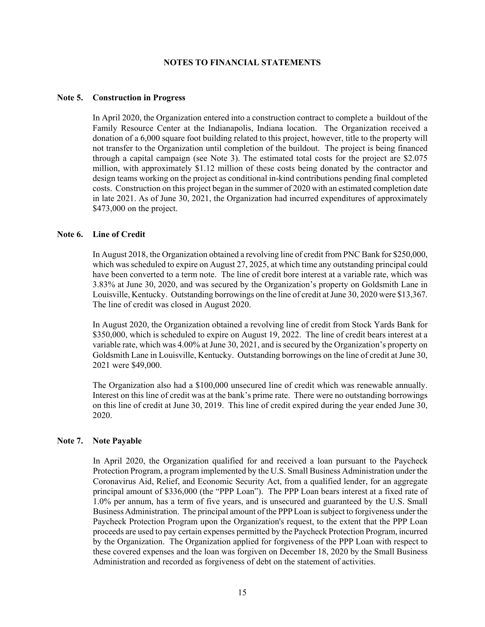## **Note 5. Construction in Progress**

In April 2020, the Organization entered into a construction contract to complete a buildout of the Family Resource Center at the Indianapolis, Indiana location. The Organization received a donation of a 6,000 square foot building related to this project, however, title to the property will not transfer to the Organization until completion of the buildout. The project is being financed through a capital campaign (see Note 3). The estimated total costs for the project are \$2.075 million, with approximately \$1.12 million of these costs being donated by the contractor and design teams working on the project as conditional in-kind contributions pending final completed costs. Construction on this project began in the summer of 2020 with an estimated completion date in late 2021. As of June 30, 2021, the Organization had incurred expenditures of approximately \$473,000 on the project.

#### **Note 6. Line of Credit**

In August 2018, the Organization obtained a revolving line of credit from PNC Bank for \$250,000, which was scheduled to expire on August 27, 2025, at which time any outstanding principal could have been converted to a term note. The line of credit bore interest at a variable rate, which was 3.83% at June 30, 2020, and was secured by the Organization's property on Goldsmith Lane in Louisville, Kentucky. Outstanding borrowings on the line of credit at June 30, 2020 were \$13,367. The line of credit was closed in August 2020.

In August 2020, the Organization obtained a revolving line of credit from Stock Yards Bank for \$350,000, which is scheduled to expire on August 19, 2022. The line of credit bears interest at a variable rate, which was 4.00% at June 30, 2021, and is secured by the Organization's property on Goldsmith Lane in Louisville, Kentucky. Outstanding borrowings on the line of credit at June 30, 2021 were \$49,000.

The Organization also had a \$100,000 unsecured line of credit which was renewable annually. Interest on this line of credit was at the bank's prime rate. There were no outstanding borrowings on this line of credit at June 30, 2019. This line of credit expired during the year ended June 30, 2020.

#### **Note 7. Note Payable**

In April 2020, the Organization qualified for and received a loan pursuant to the Paycheck Protection Program, a program implemented by the U.S. Small Business Administration under the Coronavirus Aid, Relief, and Economic Security Act, from a qualified lender, for an aggregate principal amount of \$336,000 (the "PPP Loan"). The PPP Loan bears interest at a fixed rate of 1.0% per annum, has a term of five years, and is unsecured and guaranteed by the U.S. Small Business Administration. The principal amount of the PPP Loan is subject to forgiveness under the Paycheck Protection Program upon the Organization's request, to the extent that the PPP Loan proceeds are used to pay certain expenses permitted by the Paycheck Protection Program, incurred by the Organization. The Organization applied for forgiveness of the PPP Loan with respect to these covered expenses and the loan was forgiven on December 18, 2020 by the Small Business Administration and recorded as forgiveness of debt on the statement of activities.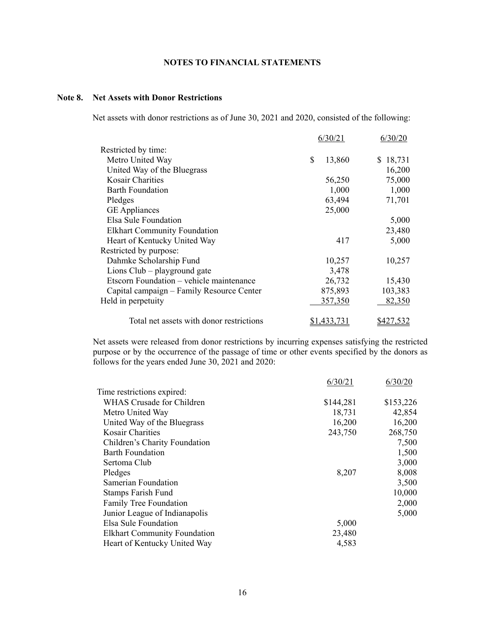# **Note 8. Net Assets with Donor Restrictions**

Net assets with donor restrictions as of June 30, 2021 and 2020, consisted of the following:

|                                           | 6/30/21            | 6/30/20          |
|-------------------------------------------|--------------------|------------------|
| Restricted by time:                       |                    |                  |
| Metro United Way                          | \$<br>13,860       | \$18,731         |
| United Way of the Bluegrass               |                    | 16,200           |
| <b>Kosair Charities</b>                   | 56,250             | 75,000           |
| <b>Barth Foundation</b>                   | 1,000              | 1,000            |
| Pledges                                   | 63,494             | 71,701           |
| <b>GE</b> Appliances                      | 25,000             |                  |
| Elsa Sule Foundation                      |                    | 5,000            |
| <b>Elkhart Community Foundation</b>       |                    | 23,480           |
| Heart of Kentucky United Way              | 417                | 5,000            |
| Restricted by purpose:                    |                    |                  |
| Dahmke Scholarship Fund                   | 10,257             | 10,257           |
| Lions Club – playground gate              | 3,478              |                  |
| Etscorn Foundation – vehicle maintenance  | 26,732             | 15,430           |
| Capital campaign – Family Resource Center | 875,893            | 103,383          |
| Held in perpetuity                        | 357,350            | 82,350           |
| Total net assets with donor restrictions  | <u>\$1,433,731</u> | <u>\$427,532</u> |

Net assets were released from donor restrictions by incurring expenses satisfying the restricted purpose or by the occurrence of the passage of time or other events specified by the donors as follows for the years ended June 30, 2021 and 2020:

|                                     | 6/30/21   | 6/30/20   |
|-------------------------------------|-----------|-----------|
| Time restrictions expired:          |           |           |
| <b>WHAS Crusade for Children</b>    | \$144,281 | \$153,226 |
| Metro United Way                    | 18,731    | 42,854    |
| United Way of the Bluegrass         | 16,200    | 16,200    |
| <b>Kosair Charities</b>             | 243,750   | 268,750   |
| Children's Charity Foundation       |           | 7,500     |
| <b>Barth Foundation</b>             |           | 1,500     |
| Sertoma Club                        |           | 3,000     |
| Pledges                             | 8,207     | 8,008     |
| Samerian Foundation                 |           | 3,500     |
| <b>Stamps Farish Fund</b>           |           | 10,000    |
| Family Tree Foundation              |           | 2,000     |
| Junior League of Indianapolis       |           | 5,000     |
| Elsa Sule Foundation                | 5,000     |           |
| <b>Elkhart Community Foundation</b> | 23,480    |           |
| Heart of Kentucky United Way        | 4,583     |           |
|                                     |           |           |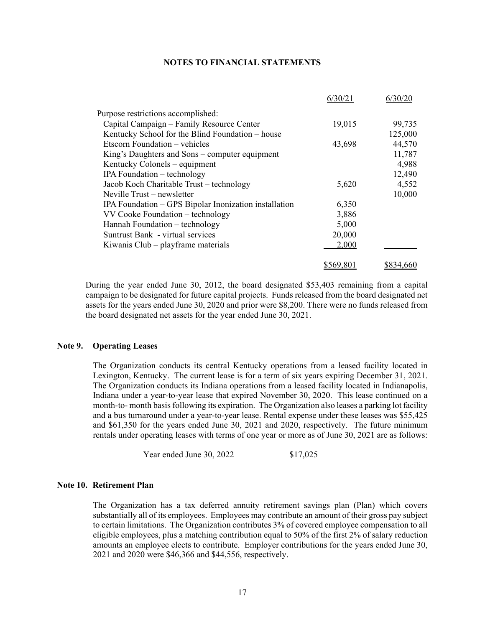|                                                       | 6/30/21   | 6/30/20          |
|-------------------------------------------------------|-----------|------------------|
| Purpose restrictions accomplished:                    |           |                  |
| Capital Campaign – Family Resource Center             | 19,015    | 99,735           |
| Kentucky School for the Blind Foundation – house      |           | 125,000          |
| Etscorn Foundation – vehicles                         | 43,698    | 44,570           |
| King's Daughters and Sons – computer equipment        |           | 11,787           |
| Kentucky Colonels – equipment                         |           | 4,988            |
| IPA Foundation – technology                           |           | 12,490           |
| Jacob Koch Charitable Trust – technology              | 5,620     | 4,552            |
| Neville Trust – newsletter                            |           | 10,000           |
| IPA Foundation – GPS Bipolar Inonization installation | 6,350     |                  |
| VV Cooke Foundation – technology                      | 3,886     |                  |
| Hannah Foundation – technology                        | 5,000     |                  |
| Suntrust Bank - virtual services                      | 20,000    |                  |
| Kiwanis Club – playframe materials                    | 2,000     |                  |
|                                                       | \$569,801 | <u>\$834,660</u> |

During the year ended June 30, 2012, the board designated \$53,403 remaining from a capital campaign to be designated for future capital projects. Funds released from the board designated net assets for the years ended June 30, 2020 and prior were \$8,200. There were no funds released from the board designated net assets for the year ended June 30, 2021.

## **Note 9. Operating Leases**

The Organization conducts its central Kentucky operations from a leased facility located in Lexington, Kentucky. The current lease is for a term of six years expiring December 31, 2021. The Organization conducts its Indiana operations from a leased facility located in Indianapolis, Indiana under a year-to-year lease that expired November 30, 2020. This lease continued on a month-to- month basis following its expiration. The Organization also leases a parking lot facility and a bus turnaround under a year-to-year lease. Rental expense under these leases was \$55,425 and \$61,350 for the years ended June 30, 2021 and 2020, respectively. The future minimum rentals under operating leases with terms of one year or more as of June 30, 2021 are as follows:

Year ended June 30, 2022 \$17,025

## **Note 10. Retirement Plan**

The Organization has a tax deferred annuity retirement savings plan (Plan) which covers substantially all of its employees. Employees may contribute an amount of their gross pay subject to certain limitations. The Organization contributes 3% of covered employee compensation to all eligible employees, plus a matching contribution equal to 50% of the first 2% of salary reduction amounts an employee elects to contribute. Employer contributions for the years ended June 30, 2021 and 2020 were \$46,366 and \$44,556, respectively.